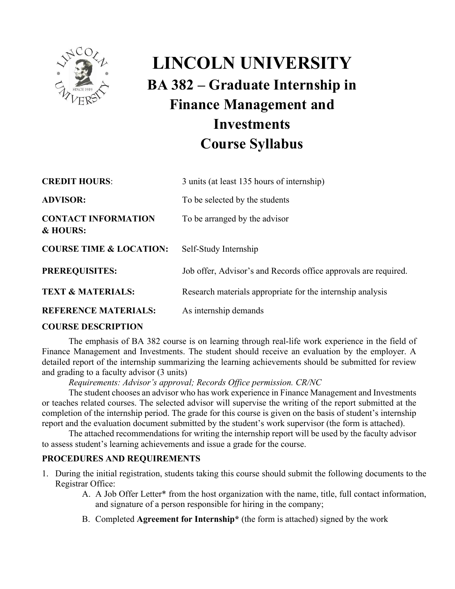

# **LINCOLN UNIVERSITY BA 382 – Graduate Internship in Finance Management and Investments Course Syllabus**

| <b>CREDIT HOURS:</b>                   | 3 units (at least 135 hours of internship)                      |
|----------------------------------------|-----------------------------------------------------------------|
| <b>ADVISOR:</b>                        | To be selected by the students                                  |
| <b>CONTACT INFORMATION</b><br>& HOURS: | To be arranged by the advisor                                   |
| <b>COURSE TIME &amp; LOCATION:</b>     | Self-Study Internship                                           |
| <b>PREREQUISITES:</b>                  | Job offer, Advisor's and Records office approvals are required. |
| <b>TEXT &amp; MATERIALS:</b>           | Research materials appropriate for the internship analysis      |
| <b>REFERENCE MATERIALS:</b>            | As internship demands                                           |

#### **COURSE DESCRIPTION**

The emphasis of BA 382 course is on learning through real-life work experience in the field of Finance Management and Investments. The student should receive an evaluation by the employer. A detailed report of the internship summarizing the learning achievements should be submitted for review and grading to a faculty advisor (3 units)

*Requirements: Advisor's approval; Records Office permission. CR/NC* 

The student chooses an advisor who has work experience in Finance Management and Investments or teaches related courses. The selected advisor will supervise the writing of the report submitted at the completion of the internship period. The grade for this course is given on the basis of student's internship report and the evaluation document submitted by the student's work supervisor (the form is attached).

The attached recommendations for writing the internship report will be used by the faculty advisor to assess student's learning achievements and issue a grade for the course.

#### **PROCEDURES AND REQUIREMENTS**

- 1. During the initial registration, students taking this course should submit the following documents to the Registrar Office:
	- A. A Job Offer Letter\* from the host organization with the name, title, full contact information, and signature of a person responsible for hiring in the company;
	- B. Completed **Agreement for Internship\*** (the form is attached) signed by the work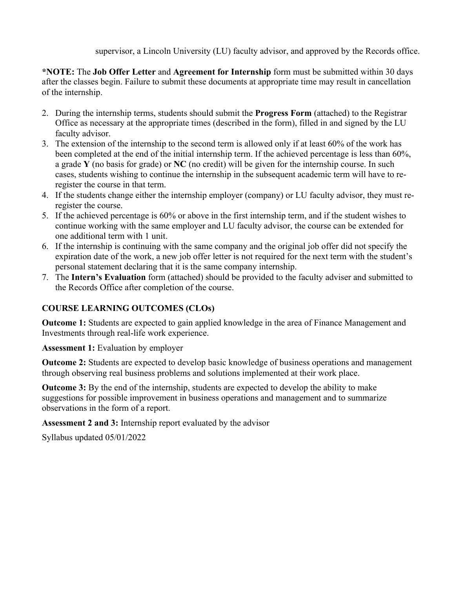supervisor, a Lincoln University (LU) faculty advisor, and approved by the Records office.

**\*NOTE:** The **Job Offer Letter** and **Agreement for Internship** form must be submitted within 30 days after the classes begin. Failure to submit these documents at appropriate time may result in cancellation of the internship.

- 2. During the internship terms, students should submit the **Progress Form** (attached) to the Registrar Office as necessary at the appropriate times (described in the form), filled in and signed by the LU faculty advisor.
- 3. The extension of the internship to the second term is allowed only if at least 60% of the work has been completed at the end of the initial internship term. If the achieved percentage is less than 60%, a grade **Y** (no basis for grade) or **NC** (no credit) will be given for the internship course. In such cases, students wishing to continue the internship in the subsequent academic term will have to reregister the course in that term.
- 4. If the students change either the internship employer (company) or LU faculty advisor, they must reregister the course.
- 5. If the achieved percentage is 60% or above in the first internship term, and if the student wishes to continue working with the same employer and LU faculty advisor, the course can be extended for one additional term with 1 unit.
- 6. If the internship is continuing with the same company and the original job offer did not specify the expiration date of the work, a new job offer letter is not required for the next term with the student's personal statement declaring that it is the same company internship.
- 7. The **Intern's Evaluation** form (attached) should be provided to the faculty adviser and submitted to the Records Office after completion of the course.

### **COURSE LEARNING OUTCOMES (CLOs)**

**Outcome 1:** Students are expected to gain applied knowledge in the area of Finance Management and Investments through real-life work experience.

**Assessment 1:** Evaluation by employer

**Outcome 2:** Students are expected to develop basic knowledge of business operations and management through observing real business problems and solutions implemented at their work place.

**Outcome 3:** By the end of the internship, students are expected to develop the ability to make suggestions for possible improvement in business operations and management and to summarize observations in the form of a report.

**Assessment 2 and 3:** Internship report evaluated by the advisor

Syllabus updated 05/01/2022